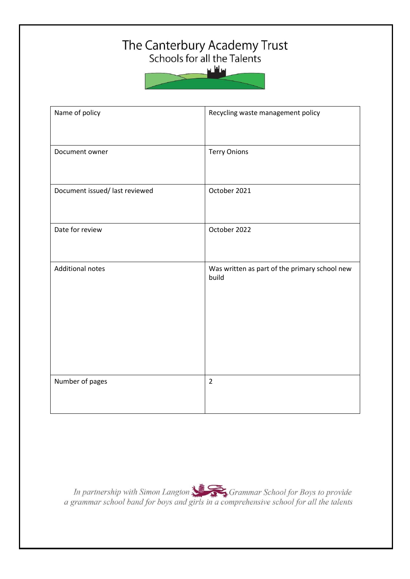# The Canterbury Academy Trust<br>Schools for all the Talents



| Name of policy                 | Recycling waste management policy                      |
|--------------------------------|--------------------------------------------------------|
| Document owner                 | <b>Terry Onions</b>                                    |
| Document issued/ last reviewed | October 2021                                           |
| Date for review                | October 2022                                           |
| <b>Additional notes</b>        | Was written as part of the primary school new<br>build |
| Number of pages                | $\overline{2}$                                         |

In partnership with Simon Langton Manus Grammar School for Boys to provide<br>a grammar school band for boys and girls in a comprehensive school for all the talents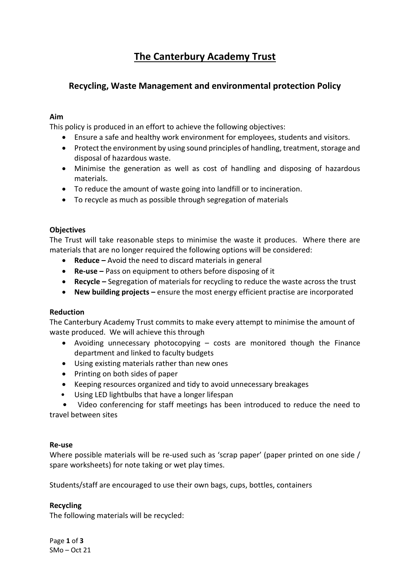## **The Canterbury Academy Trust**

### **Recycling, Waste Management and environmental protection Policy**

#### **Aim**

This policy is produced in an effort to achieve the following objectives:

- Ensure a safe and healthy work environment for employees, students and visitors.
- Protect the environment by using sound principles of handling, treatment, storage and disposal of hazardous waste.
- Minimise the generation as well as cost of handling and disposing of hazardous materials.
- To reduce the amount of waste going into landfill or to incineration.
- To recycle as much as possible through segregation of materials

#### **Objectives**

The Trust will take reasonable steps to minimise the waste it produces. Where there are materials that are no longer required the following options will be considered:

- **Reduce –** Avoid the need to discard materials in general
- **Re-use** Pass on equipment to others before disposing of it
- **Recycle –** Segregation of materials for recycling to reduce the waste across the trust
- **New building projects –** ensure the most energy efficient practise are incorporated

#### **Reduction**

The Canterbury Academy Trust commits to make every attempt to minimise the amount of waste produced. We will achieve this through

- Avoiding unnecessary photocopying costs are monitored though the Finance department and linked to faculty budgets
- Using existing materials rather than new ones
- Printing on both sides of paper
- Keeping resources organized and tidy to avoid unnecessary breakages
- Using LED lightbulbs that have a longer lifespan

 **•** Video conferencing for staff meetings has been introduced to reduce the need to travel between sites

#### **Re-use**

Where possible materials will be re-used such as 'scrap paper' (paper printed on one side / spare worksheets) for note taking or wet play times.

Students/staff are encouraged to use their own bags, cups, bottles, containers

#### **Recycling**

The following materials will be recycled:

Page **1** of **3** SMo – Oct 21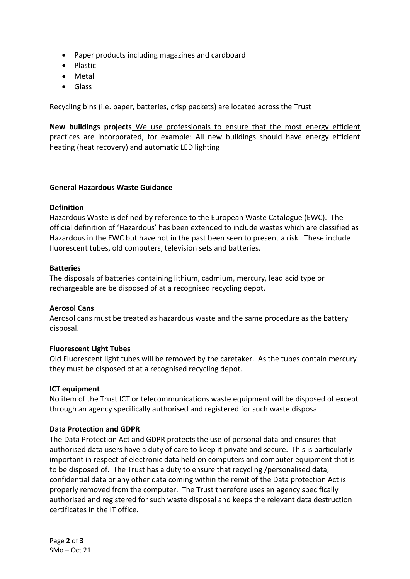- Paper products including magazines and cardboard
- Plastic
- Metal
- Glass

Recycling bins (i.e. paper, batteries, crisp packets) are located across the Trust

**New buildings projects** We use professionals to ensure that the most energy efficient practices are incorporated, for example: All new buildings should have energy efficient heating (heat recovery) and automatic LED lighting

#### **General Hazardous Waste Guidance**

#### **Definition**

Hazardous Waste is defined by reference to the European Waste Catalogue (EWC). The official definition of 'Hazardous' has been extended to include wastes which are classified as Hazardous in the EWC but have not in the past been seen to present a risk. These include fluorescent tubes, old computers, television sets and batteries.

#### **Batteries**

The disposals of batteries containing lithium, cadmium, mercury, lead acid type or rechargeable are be disposed of at a recognised recycling depot.

#### **Aerosol Cans**

Aerosol cans must be treated as hazardous waste and the same procedure as the battery disposal.

#### **Fluorescent Light Tubes**

Old Fluorescent light tubes will be removed by the caretaker. As the tubes contain mercury they must be disposed of at a recognised recycling depot.

#### **ICT equipment**

No item of the Trust ICT or telecommunications waste equipment will be disposed of except through an agency specifically authorised and registered for such waste disposal.

#### **Data Protection and GDPR**

The Data Protection Act and GDPR protects the use of personal data and ensures that authorised data users have a duty of care to keep it private and secure. This is particularly important in respect of electronic data held on computers and computer equipment that is to be disposed of. The Trust has a duty to ensure that recycling /personalised data, confidential data or any other data coming within the remit of the Data protection Act is properly removed from the computer. The Trust therefore uses an agency specifically authorised and registered for such waste disposal and keeps the relevant data destruction certificates in the IT office.